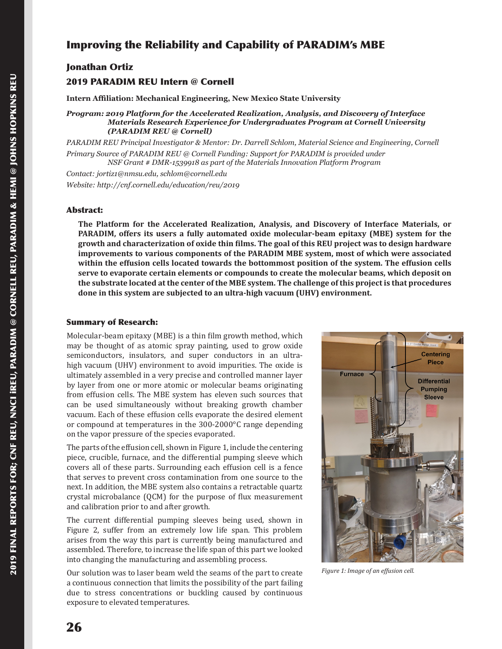# Improving the Reliability and Capability of PARADIM's MBE

## Jonathan Ortiz

# 2019 PARADIM REU Intern @ Cornell

**Intern Affiliation: Mechanical Engineering, New Mexico State University**

*Program: 2019 Platform for the Accelerated Realization, Analysis, and Discovery of Interface Materials Research Experience for Undergraduates Program at Cornell University (PARADIM REU @ Cornell)*

*PARADIM REU Principal Investigator & Mentor: Dr. Darrell Schlom, Material Science and Engineering, Cornell Primary Source of PARADIM REU @ Cornell Funding: Support for PARADIM is provided under NSF Grant # DMR-1539918 as part of the Materials Innovation Platform Program*

*Contact: jortiz1@nmsu.edu, schlom@cornell.edu Website: http://cnf.cornell.edu/education/reu/2019*

### Abstract:

**The Platform for the Accelerated Realization, Analysis, and Discovery of Interface Materials, or PARADIM, offers its users a fully automated oxide molecular-beam epitaxy (MBE) system for the growth and characterization of oxide thin films. The goal of this REU project was to design hardware improvements to various components of the PARADIM MBE system, most of which were associated within the effusion cells located towards the bottommost position of the system. The effusion cells serve to evaporate certain elements or compounds to create the molecular beams, which deposit on the substrate located at the center of the MBE system. The challenge of this project is that procedures done in this system are subjected to an ultra-high vacuum (UHV) environment.**

## Summary of Research:

Molecular-beam epitaxy (MBE) is a thin film growth method, which may be thought of as atomic spray painting, used to grow oxide semiconductors, insulators, and super conductors in an ultrahigh vacuum (UHV) environment to avoid impurities. The oxide is ultimately assembled in a very precise and controlled manner layer by layer from one or more atomic or molecular beams originating from effusion cells. The MBE system has eleven such sources that can be used simultaneously without breaking growth chamber vacuum. Each of these effusion cells evaporate the desired element or compound at temperatures in the 300-2000°C range depending on the vapor pressure of the species evaporated.

The parts of the effusion cell, shown in Figure 1, include the centering piece, crucible, furnace, and the differential pumping sleeve which covers all of these parts. Surrounding each effusion cell is a fence that serves to prevent cross contamination from one source to the next. In addition, the MBE system also contains a retractable quartz crystal microbalance (QCM) for the purpose of flux measurement and calibration prior to and after growth.

The current differential pumping sleeves being used, shown in Figure 2, suffer from an extremely low life span. This problem arises from the way this part is currently being manufactured and assembled. Therefore, to increase the life span of this part we looked into changing the manufacturing and assembling process.

Our solution was to laser beam weld the seams of the part to create a continuous connection that limits the possibility of the part failing due to stress concentrations or buckling caused by continuous exposure to elevated temperatures.



*Figure 1: Image of an effusion cell.*